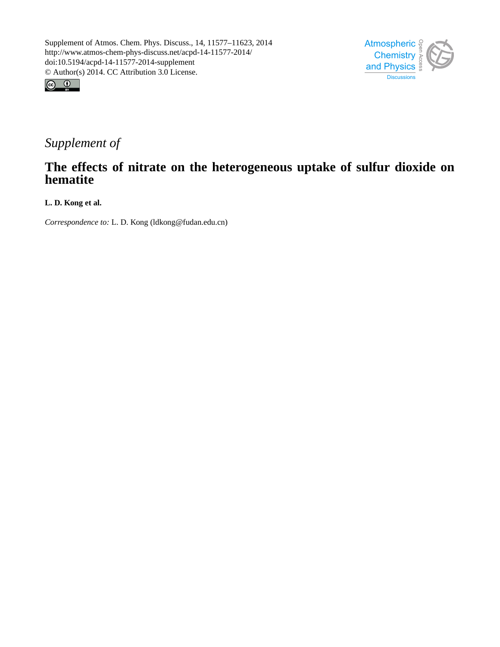



## *Supplement of*

## **The effects of nitrate on the heterogeneous uptake of sulfur dioxide on hematite**

**L. D. Kong et al.**

*Correspondence to:* L. D. Kong (ldkong@fudan.edu.cn)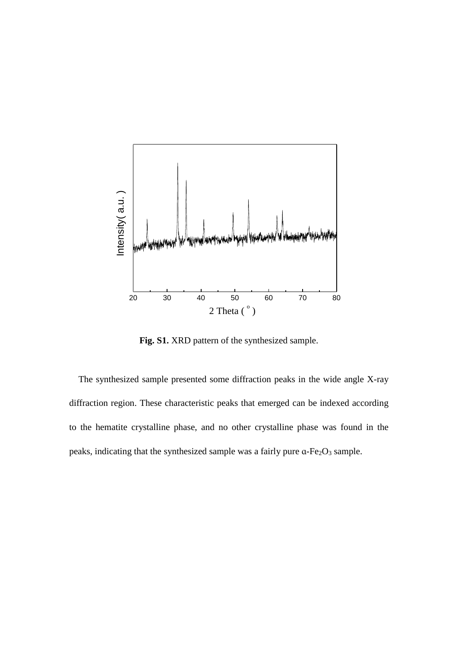

**Fig. S1**.XRD pattern of the synthesized sample.

The synthesized sample presented some diffraction peaks in the wide angle X-ray diffraction region. These characteristic peaks that emerged can be indexed according to the hematite crystalline phase, and no other crystalline phase was found in the peaks, indicating that the synthesized sample was a fairly pure  $a$ -Fe<sub>2</sub>O<sub>3</sub> sample.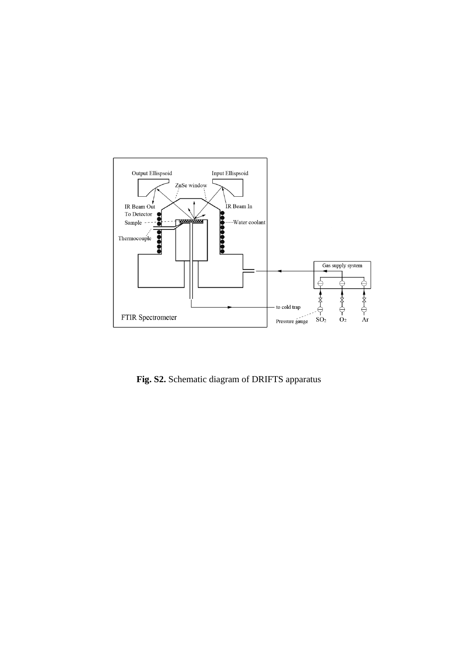

**Fig. S2.** Schematic diagram of DRIFTS apparatus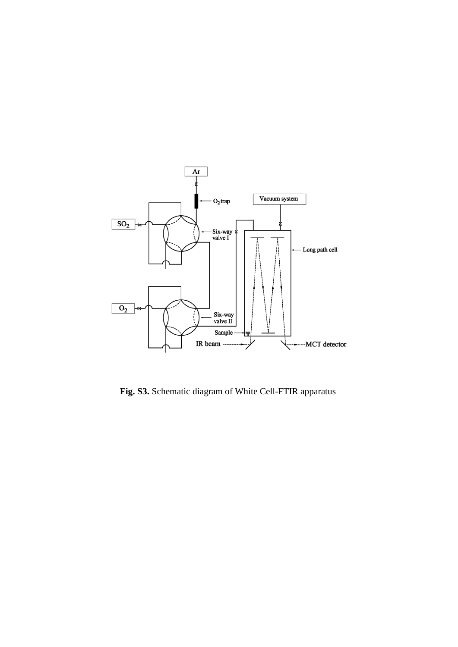

**Fig. S3.** Schematic diagram of White Cell-FTIR apparatus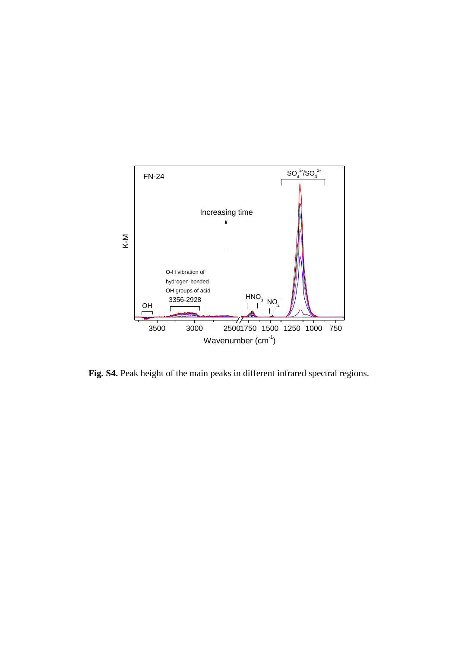

**Fig. S4.** Peak height of the main peaks in different infrared spectral regions.